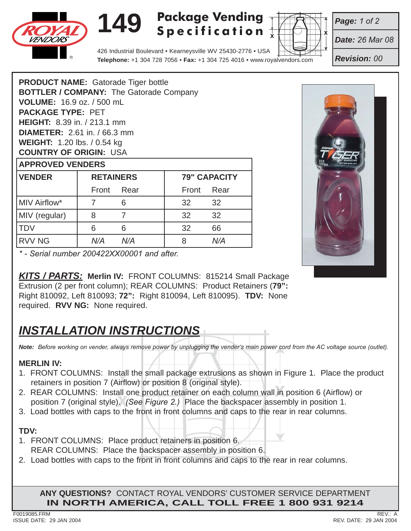

# **149**

## **Package Vending Specification**



*Date: 26 Mar 08*

*Page: 1 of 2*

*Revision: 00*

426 Industrial Boulevard • Kearneysville WV 25430-2776 • USA **Telephone:** +1 304 728 7056 • **Fax:** +1 304 725 4016 • www.royalvendors.com

| <b>RETAINERS</b><br><b>VENDER</b>              |  |  |  |  |  |
|------------------------------------------------|--|--|--|--|--|
| <b>APPROVED VENDERS</b>                        |  |  |  |  |  |
| <b>COUNTRY OF ORIGIN: USA</b>                  |  |  |  |  |  |
| <b>WEIGHT: 1.20 lbs. / 0.54 kg</b>             |  |  |  |  |  |
| <b>DIAMETER:</b> 2.61 in. / 66.3 mm            |  |  |  |  |  |
| <b>HEIGHT:</b> 8.39 in. / 213.1 mm             |  |  |  |  |  |
| <b>PACKAGE TYPE: PET</b>                       |  |  |  |  |  |
| <b>VOLUME: 16.9 oz. / 500 mL</b>               |  |  |  |  |  |
| <b>BOTTLER / COMPANY: The Gatorade Company</b> |  |  |  |  |  |
| <b>PRODUCT NAME:</b> Gatorade Tiger bottle     |  |  |  |  |  |

| <b>VENDER</b> | <b>RETAINERS</b> |      | <b>79" CAPACITY</b> |      |
|---------------|------------------|------|---------------------|------|
|               | Front            | Rear | Front               | Rear |
| MIV Airflow*  |                  | 6    | 32                  | 32   |
| MIV (regular) | 8                |      | 32                  | 32   |
| <b>TDV</b>    | 6                | 6    | 32                  | 66   |
| <b>RVV NG</b> | N/A              | N/A  |                     | N/A  |



*\* - Serial number 200422XX00001 and after.*

*KITS / PARTS:* **Merlin IV:** FRONT COLUMNS: 815214 Small Package Extrusion (2 per front column); REAR COLUMNS: Product Retainers (**79":** Right 810092, Left 810093; **72":** Right 810094, Left 810095). **TDV:** None required. **RVV NG:** None required.

## *INSTALLATION INSTRUCTIONS*

*Note: Before working on vender, always remove power by unplugging the vender's main power cord from the AC voltage source (outlet).*

#### **MERLIN IV:**

- 1. FRONT COLUMNS: Install the small package extrusions as shown in Figure 1. Place the product retainers in position 7 (Airflow) or position 8 (original style).
- 2. REAR COLUMNS: Install one product retainer on each column wall in position 6 (Airflow) or position 7 (original style). (See Figure 2.) Place the backspacer assembly in position 1. position 7 (original style). *(See Figure 2.)* Place the backspacer assembly in position 1.
- 3. Load bottles with caps to the front in front columns and caps to the rear in rear columns.

#### **TDV:**

- 1. FRONT COLUMNS: Place product retainers in position 6. REAR COLUMNS: Place the backspacer assembly in position 6.
- 2. Load bottles with caps to the front in front columns and caps to the rear in rear columns.

**ANY QUESTIONS?** CONTACT ROYAL VENDORS' CUSTOMER SERVICE DEPARTMENT **IN NORTH AMERICA, CALL TOLL FREE 1 800 931 9214**